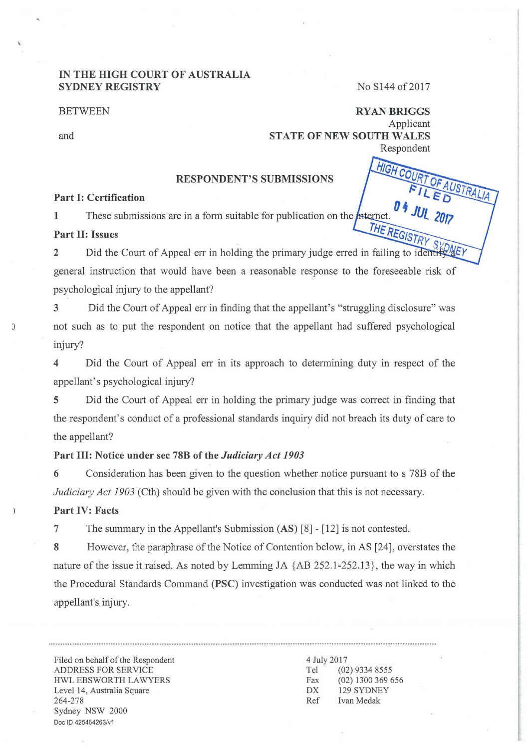## IN THE HIGH COURT OF AUSTRALIA SYDNEY REGISTRY

#### **BETWEEN**

and

## No S144 of 2017

HIGH CO

RYANBRIGGS Applicant STATE OF NEW SOUTH WALES Respondent

### RESPONDENT'S SUBMISSIONS

## Part I: Certification

1 These submissions are in a form suitable for publication on the *Internet*. THE REG

## Part II: Issues

Did the Court of Appeal err in holding the primary judge erred in failing to idea 2 general instruction that would have been a reasonable response to the foreseeable risk of psychological injury to the appellant?

3 Did the Court of Appeal err in finding that the appellant's "struggling disclosure" was J not such as to put the respondent on notice that the appellant had suffered psychological injury?

4 Did the Court of Appeal err in its approach to determining duty in respect of the appellant's psychological injury?

5 Did the Court of Appeal err in holding the primary judge was correct in finding that the respondent's conduct of a professional standards inquiry did not breach its duty of care to the appellant?

## Part Ill: Notice under sec 78B of the *Judiciary Act 1903*

6 Consideration has been given to the question whether notice pursuant to s 78B of the *Judiciary Act 1903* (Cth) should be given with the conclusion that this is not necessary.

# Part IV: Facts

 $\lambda$ 

7 The summary in the Appellant's Submission (AS) [8] - [12] is not contested.

8 However, the paraphrase of the Notice of Contention below, in AS [24], overstates the nature of the issue it raised. As noted by Lemming JA {AB 252.1-252.13} , the way in which the Procedural Standards Command (PSC) investigation was conducted was not linked to the appellant's injury.

Filed on behalf of the Respondent ADDRESS FOR SERVICE HWL EBSWORTH LAWYERS Level 14, Australia Square 264-278 Sydney NSW 2000 Doe ID 425464263/v1

#### 4 July 2017 Tel (02) 9334 8555 Fax (02) 1300 369 656 DX 129 SYDNEY Ref Ivan Medak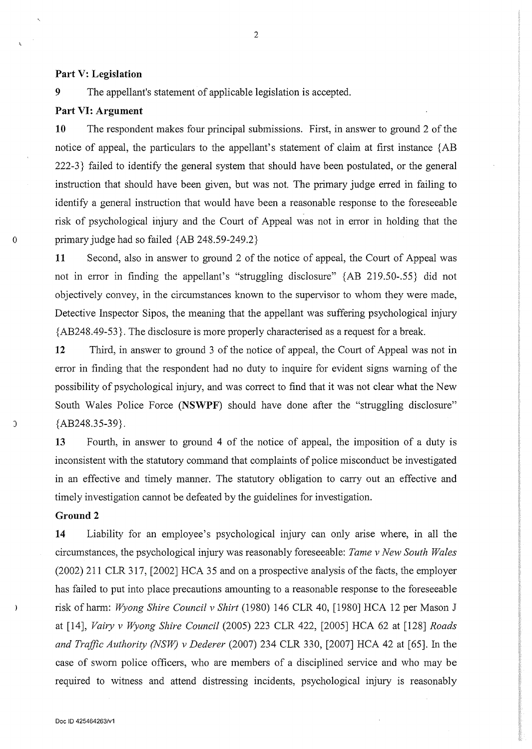#### **Part V: Legislation**

9 The appellant's statement of applicable legislation is accepted.

### **Part VI: Argument**

**10** The respondent makes four principal submissions. First, in answer to ground 2 of the notice of appeal, the particulars to the appellant's statement of claim at first instance {AB 222-3} failed to identify the general system that should have been postulated, or the general instruction that should have been given, but was not. The primary judge erred in failing to identify a general instruction that would have been a reasonable response to the foreseeable risk of psychological injury and the Court of Appeal was not in error in holding that the o primary judge had so failed {AB 248.59-249.2}

**11** Second, also in answer to ground 2 of the notice of appeal, the Court of Appeal was not in error in finding the appellant's "struggling disclosure" {AB 219.50-.55} did not objectively convey, in the circumstances known to the supervisor to whom they were made, Detective Inspector Sipos, the meaning that the appellant was suffering psychological injury {AB248.49-53}. The disclosure is more properly characterised as a request for a break.

**12** Third, in answer to ground 3 of the notice of appeal, the Court of Appeal was not in error in finding that the respondent had no duty to inquire for evident signs warning of the possibility of psychological injury, and was correct to find that it was not clear what the New South Wales Police Force **(NSWPF)** should have done after the "struggling disclosure"  $\{AB248.35-39\}.$ 

**13** Fourth, in answer to ground 4 of the notice of appeal, the imposition of a duty is inconsistent with the statutory command that complaints of police misconduct be investigated in an effective and timely manner. The statutory obligation to carry out an effective and timely investigation cannot be defeated by the guidelines for investigation.

#### **Ground2**

 $\rightarrow$ 

**14** Liability for an employee's psychological injury can only arise where, in all the circumstances, the psychological injury was reasonably foreseeable: *Tame v New South Wales*  (2002) 211 CLR 317, [2002] HCA 35 and on a prospective analysis of the facts, the employer has failed to put into place precautions amounting to a reasonable response to the foreseeable risk of harm: *Wyong Shire Council v Shirt* (1980) 146 CLR 40, [1980] HCA 12 per Mason J at [14], *Vairy v Wyong Shire Council* (2005) 223 CLR 422, [2005] HCA 62 at [128] *Roads and Traffic Authority (NSW) v Dederer* (2007) 234 CLR 330, [2007] HCA 42 at [65]. In the case of swom police officers, who are members of a disciplined service and who may be required to witness and attend distressing incidents, psychological injury is reasonably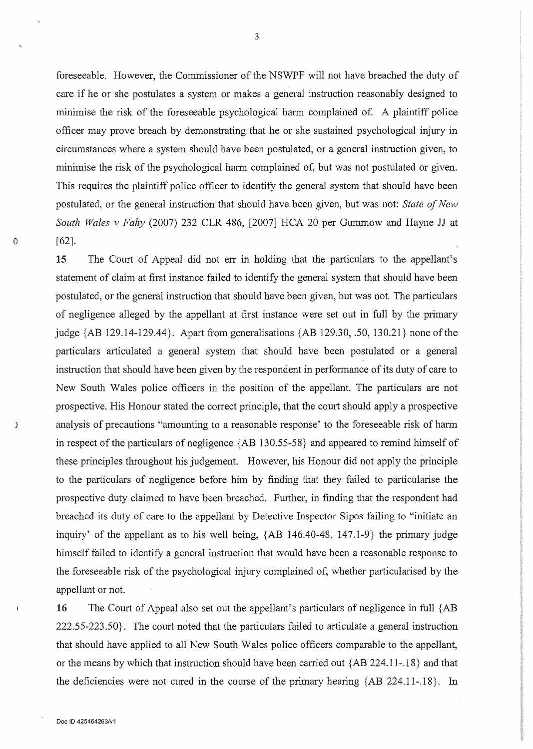foreseeable. However, the Commissioner of the NSWPF will not have breached the duty of care if he or she postulates a system or makes a general instruction reasonably designed to minimise the risk of the foreseeable psychological harm complained of. A plaintiff police officer may prove breach by demonstrating that he or she sustained psychological injury in circumstances where a system should have been postulated, or a general instruction given, to minimise the risk of the psychological harm complained of, but was not postulated or given. This requires the plaintiff police officer to identify the general system that should have been postulated, or the general instruction that should have been given, but was not: *State of New South Wales v Fahy* (2007) 232 CLR 486, [2007] HCA 20 per Gummow and Hayne JJ at  $[62]$ .

15 The Court of Appeal did not err in holding that the particulars to the appellant's statement of claim at first instance failed to identify the general system that should have been postulated, or the general instruction that should have been given, but was not. The particulars of negligence alleged by the appellant at first instance were set out in full by the primary judge  ${AB 129.14-129.44}$ . Apart from generalisations  ${AB 129.30, .50, 130.21}$  none of the particulars articulated a general system that should have been postulated or a general instruction that should have been given by the respondent in performance of its duty of care to New South Wales police officers in the position of the appellant. The particulars are not prospective. His Honour stated the correct principle, that the court should apply a prospective ) analysis of precautions "amounting to a reasonable response' to the foreseeable risk of harm in respect of the particulars of negligence {AB 130.55-58} and appeared to remind himself of these principles throughout his judgement. However, his Honour did not apply the principle to the particulars of negligence before him by finding that they failed to particularise the prospective duty claimed to have been breached. Further, in finding that the respondent had breached its duty of care to the appellant by Detective Inspector Sipos failing to "initiate an inquiry' of the appellant as to his well being, {AB 146.40-48, 147.1-9} the primary judge himself failed to identify a general instruction that would have been a reasonable response to the foreseeable risk of the psychological injury complained of, whether particularised by the appellant or not.

16 The Court of Appeal also set out the appellant's particulars of negligence in full {AB 222.55-223 .50}. The court noted that the particulars failed to articulate a general instruction that should have applied to all New South Wales police officers comparable to the appellant, or the means by which that instruction should have been carried out {AB 224.11-.18} and that the deficiencies were not cured in the course of the primary hearing  ${AB 224.11-.18}$ . In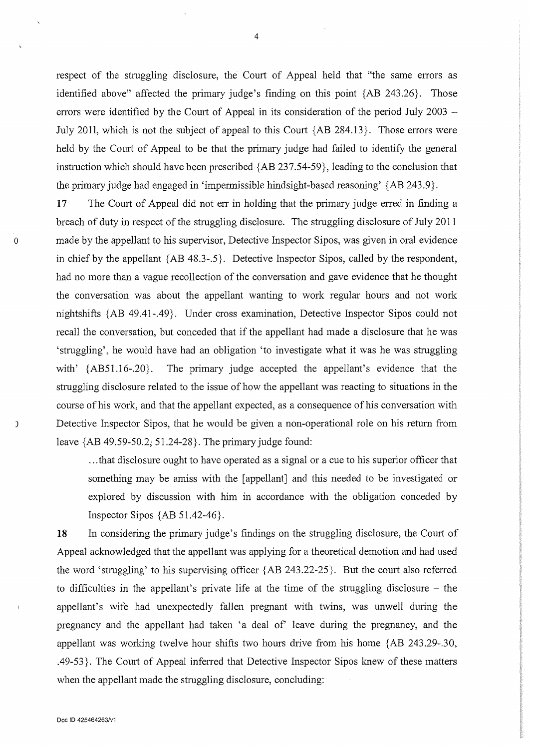respect of the struggling disclosure, the Court of Appeal held that "the same errors as identified above" affected the primary judge's finding on this point {AB 243.26}. Those errors were identified by the Court of Appeal in its consideration of the period July 2003 – July 2011, which is not the subject of appeal to this Court {AB 284.13}. Those errors were held by the Court of Appeal to be that the primary judge had failed to identify the general instruction which should have been prescribed {AB 237.54-59}, leading to the conclusion that the primary judge had engaged in 'impermissible hindsight-based reasoning' {AB 243.9}.

17 The Court of Appeal did not err in holding that the primary judge erred in finding a breach of duty in respect of the struggling disclosure. The struggling disclosure of July 2011 o made by the appellant to his supervisor, Detective Inspector Sipos, was given in oral evidence in chief by the appellant  ${AB 48.3-.5}$ . Detective Inspector Sipos, called by the respondent, had no more than a vague recollection of the conversation and gave evidence that he thought the conversation was about the appellant wanting to work regular hours and not work nightshifts {AB 49.41-.49}. Under cross examination, Detective Inspector Sipos could not recall the conversation, but conceded that if the appellant had made a disclosure that he was 'struggling', he would have had an obligation 'to investigate what it was he was struggling with' {AB51.16-.20}. The primary judge accepted the appellant's evidence that the struggling disclosure related to the issue of how the appellant was reacting to situations in the course of his work, and that the appellant expected, as a consequence of his conversation with ) Detective Inspector Sipos, that he would be given a non-operational role on his return from leave {AB 49.59-50.2; 51.24-28}. The primary judge found:

> ... that disclosure ought to have operated as a signal or a cue to his superior officer that something may be amiss with the [appellant] and this needed to be investigated or explored by discussion with him in accordance with the obligation conceded by Inspector Sipos {AB 51.42-46}.

18 In considering the primary judge's findings on the struggling disclosure, the Court of Appeal acknowledged that the appellant was applying for a theoretical demotion and had used the word 'struggling' to his supervising officer {AB 243.22-25}. But the court also referred to difficulties in the appellant's private life at the time of the struggling disclosure - the appellant's wife had unexpectedly fallen pregnant with twins, was unwell during the pregnancy and the appellant had taken 'a deal of' leave during the pregnancy, and the appellant was working twelve hour shifts two hours drive from his home {AB 243.29-.30, .49-53}. The Court of Appeal inferred that Detective Inspector Sipos knew of these matters when the appellant made the struggling disclosure, concluding:

4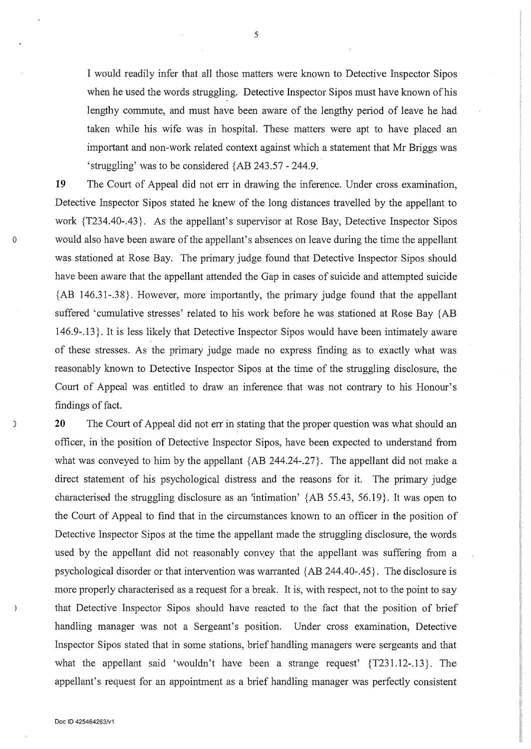I would readily infer that all those matters were known to Detective Inspector Sipos when he used the words struggling. Detective Inspector Sipos must have known of his lengthy commute, and must have been aware of the lengthy period of leave he had taken while his wife was in hospital. These matters were apt to have placed an important and non-work related context against which a statement that Mr Briggs was 'struggling' was to be considered {AB 243.57- 244.9.

19 The Court of Appeal did not err in drawing the inference. Under cross examination, Detective Inspector Sipos stated he knew of the long distances travelled by the appellant to work {T234.40-.43}. As the appellant's supervisor at Rose Bay, Detective Inspector Sipos o would also have been aware of the appellant's absences on leave during the time the appellant was stationed at Rose Bay. The primary judge found that Detective Inspector Sipos should have been aware that the appellant attended the Gap in cases of suicide and attempted suicide {AB 146.31-.38}. However, more importantly, the primary judge found that the appellant suffered 'cumulative stresses' related to his work before he was stationed at Rose Bay {AB 146.9-.13}. It is less likely that Detective Inspector Sipos would have been intimately aware of these stresses. As the primary judge made no express finding as to exactly what was reasonably known to Detective Inspector Sipos at the time of the struggling disclosure, the Court of Appeal was entitled to draw an inference that was not contrary to his Honour's findings of fact.

20 The Court of Appeal did not err in stating that the proper question was what should an officer, in the position of Detective Inspector Sipos, have been expected to understand from what was conveyed to him by the appellant {AB 244.24-.27}. The appellant did not make a direct statement of his psychological distress and the reasons for it. The primary judge characterised the struggling disclosure as an 'intimation' {AB 55.43, 56.19}. It was open to the Court of Appeal to find that in the circumstances known to an officer in the position of Detective Inspector Sipos at the time the appellant made the struggling disclosure, the words used by the appellant did not reasonably convey that the appellant was suffering from a psychological disorder or that intervention was warranted {AB 244.40-.45}. The disclosure is more properly characterised as a request for a break. It is, with respect, not to the point to say that Detective Inspector Sipos should have reacted to the fact that the position of brief handling manager was not a Sergeant's position. Under cross examination, Detective Inspector Sipos stated that in some stations, brief handling managers were sergeants and that what the appellant said 'wouldn't have been a strange request' {T231.12-.13}. The appellant's request for an appointment as a brief handling manager was perfectly consistent

5

 $\lambda$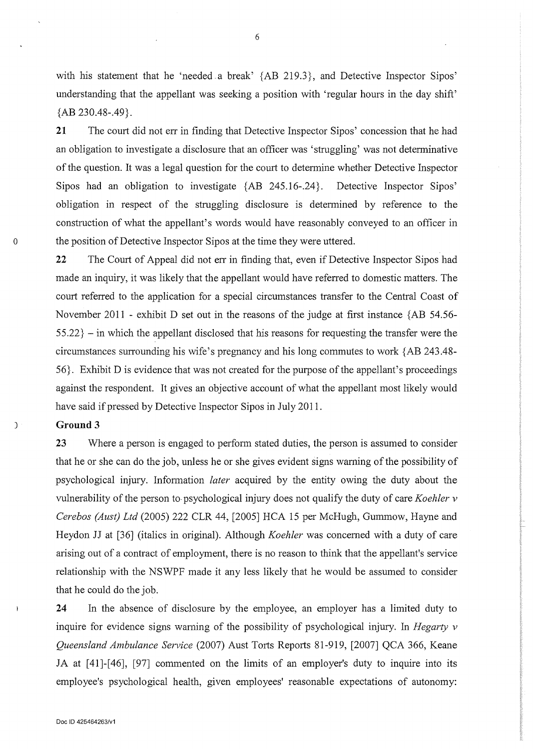with his statement that he 'needed a break' {AB 219.3}, and Detective Inspector Sipos' understanding that the appellant was seeking a position with 'regular hours in the day shift' {AB 230.48-.49}.

**21** The court did not err in finding that Detective Inspector Sipos' concession that he had an obligation to investigate a disclosure that an officer was 'struggling' was not determinative of the question. It was a legal question for the court to determine whether Detective Inspector Sipos had an obligation to investigate {AB 245.16-.24}. Detective Inspector Sipos' obligation in respect of the struggling disclosure is determined by reference to the construction of what the appellant's words would have reasonably conveyed to an officer in 0 the position of Detective Inspector Sipos at the time they were uttered.

22 The Court of Appeal did not err in finding that, even if Detective Inspector Sipos had made an inquiry, it was likely that the appellant would have refened to domestic matters. The court refened to the application for a special circumstances transfer to the Central Coast of November 2011 - exhibit D set out in the reasons of the judge at first instance {AB 54.56-  $55.22$ } – in which the appellant disclosed that his reasons for requesting the transfer were the circumstances surrounding his wife's pregnancy and his long commutes to work  ${AB 243.48}$ -56}. Exhibit D is evidence that was not created for the purpose of the appellant's proceedings against the respondent. It gives an objective account of what the appellant most likely would have said if pressed by Detective Inspector Sipos in July 2011.

## ) **Ground 3**

**23** Where a person is engaged to perform stated duties, the person is assumed to consider that he or she can do the job, unless he or she gives evident signs waming of the possibility of psychological injury. Infonnation *later* acquired by the entity owing the duty about the vulnerability of the person to psychological injury does not qualify the duty of care *Koehler v Cerebos (Aust) Ltd* (2005) 222 CLR 44, [2005] HCA 15 per McHugh, Gummow, Hayne and Heydon JJ at [36] (italics in original). Although *Koehler* was concemed with a duty of care arising out of a contract of employment, there is no reason to think that the appellant's service relationship with the NSWPF made it any less likely that he would be assumed to consider that he could do the job.

**24** In the absence of disclosure by the employee, an employer has a limited duty to inquire for evidence signs waming of the possibility of psychological injury. In *Hegarty v Queensland Ambulance Service* (2007) Aust Torts Reports 81-919, [2007] QCA 366, Keane JA at [41]-[46], [97] commented on the limits of an employer's duty to inquire into its employee's psychological health, given employees' reasonable expectations of autonomy: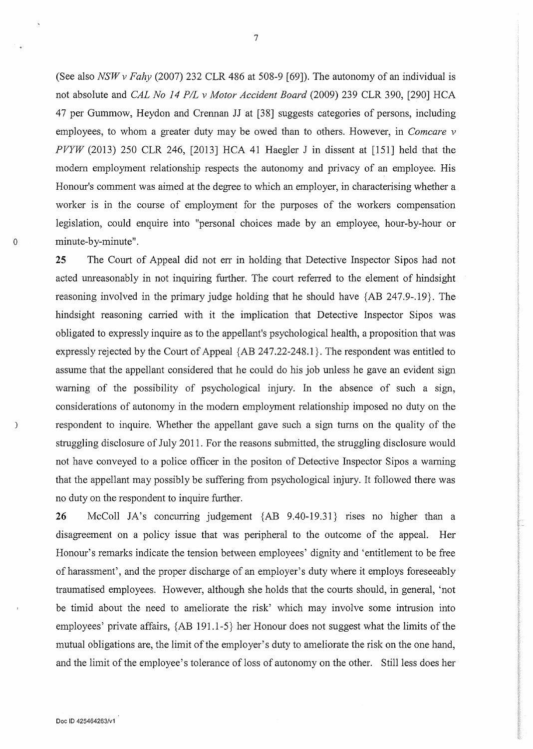(See also *NSW v Fahy* (2007) 232 CLR 486 at 508-9 [69]). The autonomy of an individual is not absolute and *CAL No 14 PIL v Motor Accident Board* (2009) 239 CLR 390, [290] HCA 47 per Gummow, Heydon and Crennan JJ at [38] suggests categories of persons, including employees, to whom a greater duty may be owed than to others. However, in *Comcare v PVYW* (2013) 250 CLR 246, [2013] HCA 41 Haegler J in dissent at [151] held that the modem employment relationship respects the autonomy and privacy of an employee. His Honour's comment was aimed at the degree to which an employer, in characterising whether a worker is in the course of employment for the purposes of the workers compensation legislation, could enquire into "personal choices made by an employee, hour-by-hour or o minute-by-minute".

25 The Court of Appeal did not err in holding that Detective Inspector Sipos had not acted unreasonably in not inquiring further. The court referred to the element of hindsight reasoning involved in the primary judge holding that he should have {AB 247.9-.19}. The hindsight reasoning carried with it the implication that Detective Inspector Sipos was obligated to expressly inquire as to the appellant's psychological health, a proposition that was expressly rejected by the Court of Appeal {AB 247.22-248.1 }. The respondent was entitled to assume that the appellant considered that he could do his job unless he gave an evident sign warning of the possibility of psychological injury. In the absence of such a sign, considerations of autonomy in the modem employment relationship imposed no duty on the respondent to inquire. Whether the appellant gave such a sign turns on the quality of the struggling disclosure of July 2011. For the reasons submitted, the struggling disclosure would not have conveyed to a police officer in the positon of Detective Inspector Sipos a warning that the appellant may possibly be suffering from psychological injury. It followed there was no duty on the respondent to inquire further.

26 McColl JA's concurring judgement {AB 9.40-19.31} rises no higher than a disagreement on a policy issue that was peripheral to the outcome of the appeal. Her Honour's remarks indicate the tension between employees' dignity and 'entitlement to be free of harassment', and the proper discharge of an employer's duty where it employs foreseeably traumatised employees. However, although she holds that the courts should, in general, 'not be timid about the need to ameliorate the risk' which may involve some intrusion into employees' private affairs,  ${AB 191.1-5}$  her Honour does not suggest what the limits of the mutual obligations are, the limit of the employer's duty to ameliorate the risk on the one hand, and the limit of the employee's tolerance of loss of autonomy on the other. Still less does her

 $\mathcal{E}$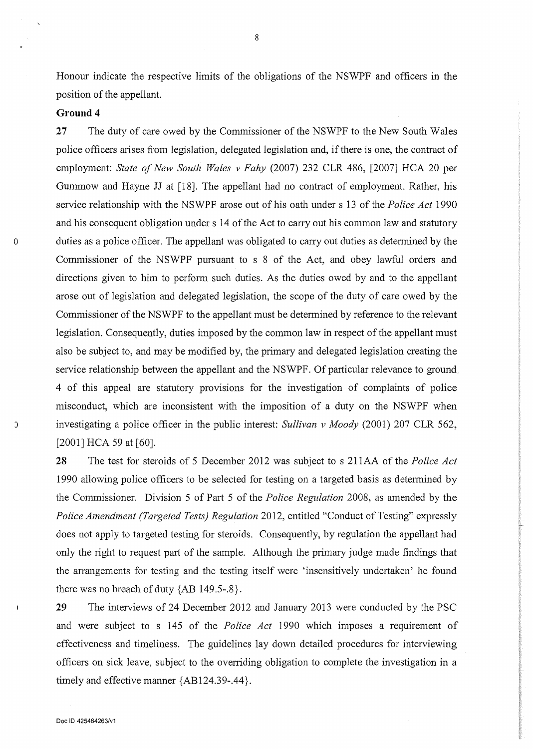Honour indicate the respective limits of the obligations of the NSWPF and officers in the position of the appellant.

## **Ground4**

27 The duty of care owed by the Commissioner of the NSWPF to the New South Wales police officers arises from legislation, delegated legislation and, if there is one, the contract of employment: *State of New South Wales v Fahy* (2007) 232 CLR 486, [2007] HCA 20 per Gummow and Hayne JJ at [18]. The appellant had no contract of employment. Rather, his service relationship with the NSWPF arose out of his oath under s 13 of the *Police Act* 1990 and his consequent obligation under s 14 of the Act to carry out his common law and statutory 0 duties as a police officer. The appellant was obligated to carry out duties as determined by the Commissioner of the NSWPF pursuant to s 8 of the Act, and obey lawful orders and directions given to him to perform such duties. As the duties owed by and to the appellant arose out of legislation and delegated legislation, the scope of the duty of care owed by the Commissioner of the NSWPF to the appellant must be determined by reference to the relevant legislation. Consequently, duties imposed by the common law in respect of the appellant must also be subject to, and may be modified by, the primary and delegated legislation creating the service relationship between the appellant and the NSWPF. Of particular relevance to ground 4 of this appeal are statutory provisions for the investigation of complaints of police misconduct, which are inconsistent with the imposition of a duty on the NSWPF when ) investigating a police officer in the public interest: *Sullivan v Moody* (2001) 207 CLR 562, [2001] HCA 59 at [60].

28 The test for steroids of 5 December 2012 was subject to s 211AA of the *Police Act*  1990 allowing police officers to be selected for testing on a targeted basis as determined by the Commissioner. Division 5 of Part 5 of the *Police Regulation* 2008, as amended by the *Police Amendment (Targeted Tests) Regulation* 2012, entitled "Conduct of Testing" expressly does not apply to targeted testing for steroids. Consequently, by regulation the appellant had only the right to request part of the sample. Although the primary judge made findings that the arrangements for testing and the testing itself were 'insensitively undertaken' he found there was no breach of duty  ${AB 149.5-.8}.$ 

29 The interviews of 24 December 2012 and January 2013 were conducted by the PSC and were subject to s 145 of the *Police Act* 1990 which imposes a requirement of effectiveness and timeliness. The guidelines lay down detailed procedures for interviewing officers on sick leave, subject to the overriding obligation to complete the investigation in a timely and effective manner {AB124.39-.44}.